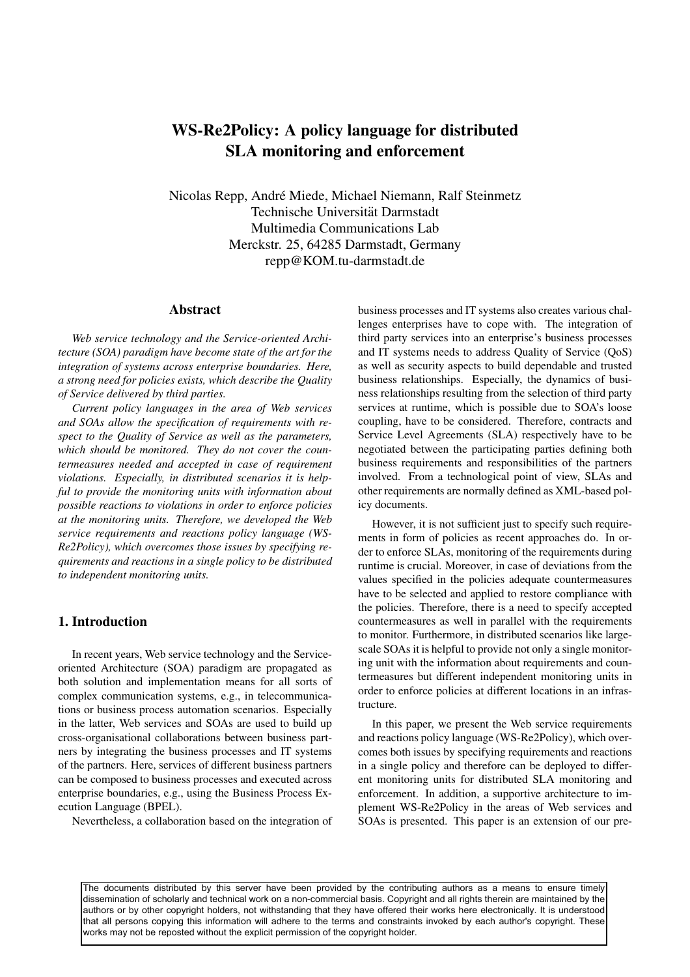# **WS-Re2Policy: A policy language for distributed SLA monitoring and enforcement**

Nicolas Repp, Andre Miede, Michael Niemann, Ralf Steinmetz ´ Technische Universität Darmstadt Multimedia Communications Lab Merckstr. 25, 64285 Darmstadt, Germany repp@KOM.tu-darmstadt.de

#### **Abstract**

*Web service technology and the Service-oriented Architecture (SOA) paradigm have become state of the art for the integration of systems across enterprise boundaries. Here, a strong need for policies exists, which describe the Quality of Service delivered by third parties.*

*Current policy languages in the area of Web services and SOAs allow the specification of requirements with respect to the Quality of Service as well as the parameters, which should be monitored. They do not cover the countermeasures needed and accepted in case of requirement violations. Especially, in distributed scenarios it is helpful to provide the monitoring units with information about possible reactions to violations in order to enforce policies at the monitoring units. Therefore, we developed the Web service requirements and reactions policy language (WS-Re2Policy), which overcomes those issues by specifying requirements and reactions in a single policy to be distributed to independent monitoring units.*

# **1. Introduction**

In recent years, Web service technology and the Serviceoriented Architecture (SOA) paradigm are propagated as both solution and implementation means for all sorts of complex communication systems, e.g., in telecommunications or business process automation scenarios. Especially in the latter, Web services and SOAs are used to build up cross-organisational collaborations between business partners by integrating the business processes and IT systems of the partners. Here, services of different business partners can be composed to business processes and executed across enterprise boundaries, e.g., using the Business Process Execution Language (BPEL).

Nevertheless, a collaboration based on the integration of

business processes and IT systems also creates various challenges enterprises have to cope with. The integration of third party services into an enterprise's business processes and IT systems needs to address Quality of Service (QoS) as well as security aspects to build dependable and trusted business relationships. Especially, the dynamics of business relationships resulting from the selection of third party services at runtime, which is possible due to SOA's loose coupling, have to be considered. Therefore, contracts and Service Level Agreements (SLA) respectively have to be negotiated between the participating parties defining both business requirements and responsibilities of the partners involved. From a technological point of view, SLAs and other requirements are normally defined as XML-based policy documents.

However, it is not sufficient just to specify such requirements in form of policies as recent approaches do. In order to enforce SLAs, monitoring of the requirements during runtime is crucial. Moreover, in case of deviations from the values specified in the policies adequate countermeasures have to be selected and applied to restore compliance with the policies. Therefore, there is a need to specify accepted countermeasures as well in parallel with the requirements to monitor. Furthermore, in distributed scenarios like largescale SOAs it is helpful to provide not only a single monitoring unit with the information about requirements and countermeasures but different independent monitoring units in order to enforce policies at different locations in an infrastructure.

In this paper, we present the Web service requirements and reactions policy language (WS-Re2Policy), which overcomes both issues by specifying requirements and reactions in a single policy and therefore can be deployed to different monitoring units for distributed SLA monitoring and enforcement. In addition, a supportive architecture to implement WS-Re2Policy in the areas of Web services and SOAs is presented. This paper is an extension of our pre-

The documents distributed by this server have been provided by the contributing authors as a means to ensure timely dissemination of scholarly and technical work on a non-commercial basis. Copyright and all rights therein are maintained by the authors or by other copyright holders, not withstanding that they have offered their works here electronically. It is understood that all persons copying this information will adhere to the terms and constraints invoked by each author's copyright. These works may not be reposted without the explicit permission of the copyright holder.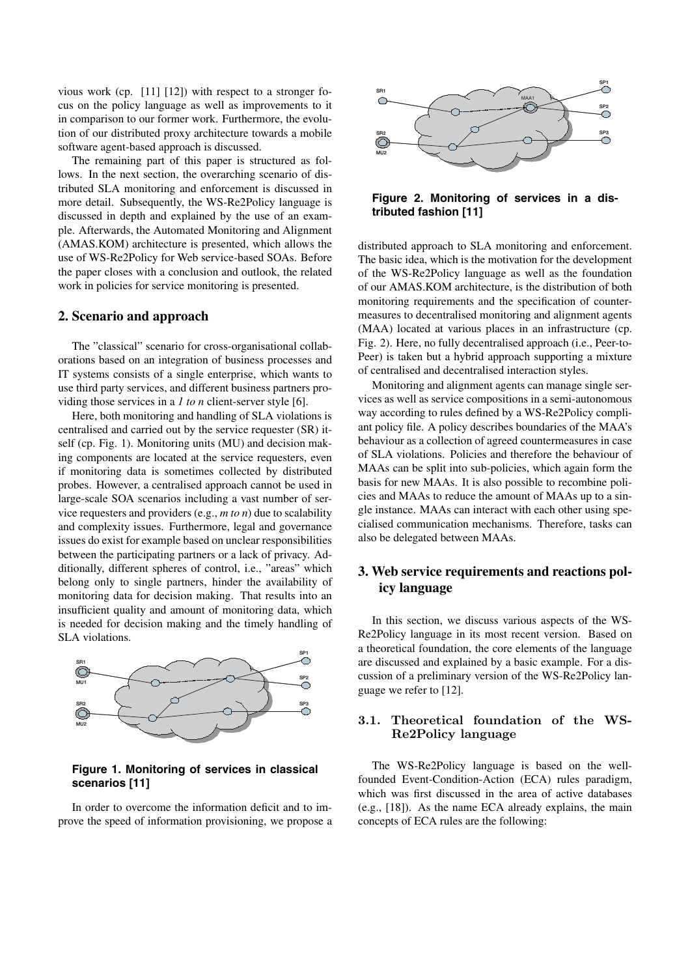vious work (cp. [11] [12]) with respect to a stronger focus on the policy language as well as improvements to it in comparison to our former work. Furthermore, the evolution of our distributed proxy architecture towards a mobile software agent-based approach is discussed.

The remaining part of this paper is structured as follows. In the next section, the overarching scenario of distributed SLA monitoring and enforcement is discussed in more detail. Subsequently, the WS-Re2Policy language is discussed in depth and explained by the use of an example. Afterwards, the Automated Monitoring and Alignment (AMAS.KOM) architecture is presented, which allows the use of WS-Re2Policy for Web service-based SOAs. Before the paper closes with a conclusion and outlook, the related work in policies for service monitoring is presented.

#### **2. Scenario and approach**

The "classical" scenario for cross-organisational collaborations based on an integration of business processes and IT systems consists of a single enterprise, which wants to use third party services, and different business partners providing those services in a *1 to n* client-server style [6].

Here, both monitoring and handling of SLA violations is centralised and carried out by the service requester (SR) itself (cp. Fig. 1). Monitoring units (MU) and decision making components are located at the service requesters, even if monitoring data is sometimes collected by distributed probes. However, a centralised approach cannot be used in large-scale SOA scenarios including a vast number of service requesters and providers (e.g., *m to n*) due to scalability and complexity issues. Furthermore, legal and governance issues do exist for example based on unclear responsibilities between the participating partners or a lack of privacy. Additionally, different spheres of control, i.e., "areas" which belong only to single partners, hinder the availability of monitoring data for decision making. That results into an insufficient quality and amount of monitoring data, which is needed for decision making and the timely handling of SLA violations.



# **Figure 1. Monitoring of services in classical scenarios [11]**

In order to overcome the information deficit and to improve the speed of information provisioning, we propose a



# **Figure 2. Monitoring of services in a distributed fashion [11]**

distributed approach to SLA monitoring and enforcement. The basic idea, which is the motivation for the development of the WS-Re2Policy language as well as the foundation of our AMAS.KOM architecture, is the distribution of both monitoring requirements and the specification of countermeasures to decentralised monitoring and alignment agents (MAA) located at various places in an infrastructure (cp. Fig. 2). Here, no fully decentralised approach (i.e., Peer-to-Peer) is taken but a hybrid approach supporting a mixture of centralised and decentralised interaction styles.

Monitoring and alignment agents can manage single services as well as service compositions in a semi-autonomous way according to rules defined by a WS-Re2Policy compliant policy file. A policy describes boundaries of the MAA's behaviour as a collection of agreed countermeasures in case of SLA violations. Policies and therefore the behaviour of MAAs can be split into sub-policies, which again form the basis for new MAAs. It is also possible to recombine policies and MAAs to reduce the amount of MAAs up to a single instance. MAAs can interact with each other using specialised communication mechanisms. Therefore, tasks can also be delegated between MAAs.

# **3. Web service requirements and reactions policy language**

In this section, we discuss various aspects of the WS-Re2Policy language in its most recent version. Based on a theoretical foundation, the core elements of the language are discussed and explained by a basic example. For a discussion of a preliminary version of the WS-Re2Policy language we refer to [12].

# **3.1. Theoretical foundation of the WS-Re2Policy language**

The WS-Re2Policy language is based on the wellfounded Event-Condition-Action (ECA) rules paradigm, which was first discussed in the area of active databases (e.g., [18]). As the name ECA already explains, the main concepts of ECA rules are the following: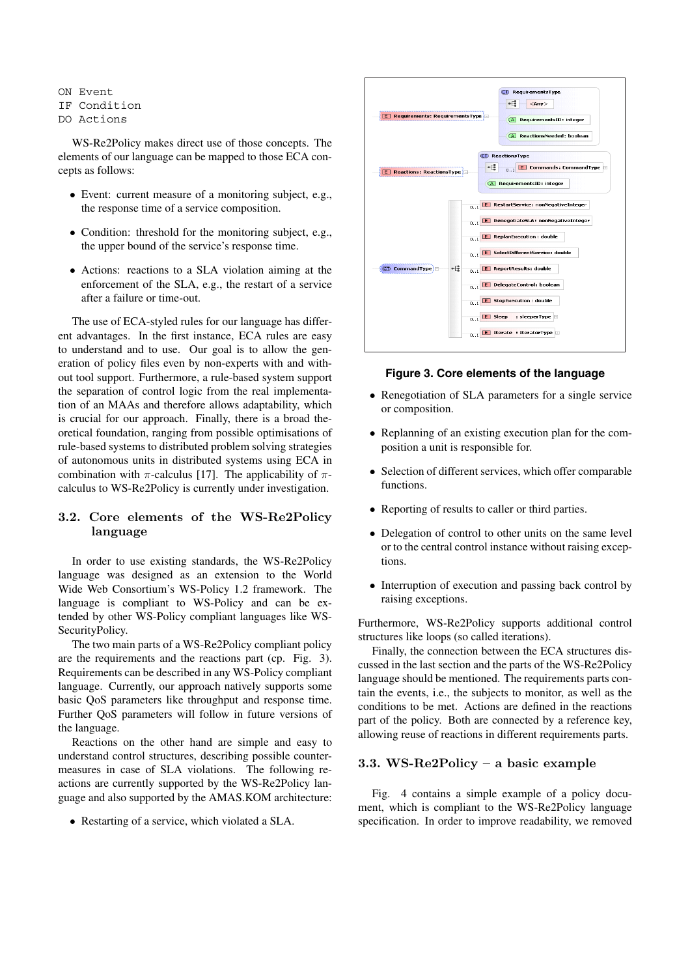ON Event

#### IF Condition

DO Actions

WS-Re2Policy makes direct use of those concepts. The elements of our language can be mapped to those ECA concepts as follows:

- *•* Event: current measure of a monitoring subject, e.g., the response time of a service composition.
- Condition: threshold for the monitoring subject, e.g., the upper bound of the service's response time.
- *•* Actions: reactions to a SLA violation aiming at the enforcement of the SLA, e.g., the restart of a service after a failure or time-out.

The use of ECA-styled rules for our language has different advantages. In the first instance, ECA rules are easy to understand and to use. Our goal is to allow the generation of policy files even by non-experts with and without tool support. Furthermore, a rule-based system support the separation of control logic from the real implementation of an MAAs and therefore allows adaptability, which is crucial for our approach. Finally, there is a broad theoretical foundation, ranging from possible optimisations of rule-based systems to distributed problem solving strategies of autonomous units in distributed systems using ECA in combination with  $\pi$ -calculus [17]. The applicability of  $\pi$ calculus to WS-Re2Policy is currently under investigation.

# **3.2. Core elements of the WS-Re2Policy language**

In order to use existing standards, the WS-Re2Policy language was designed as an extension to the World Wide Web Consortium's WS-Policy 1.2 framework. The language is compliant to WS-Policy and can be extended by other WS-Policy compliant languages like WS-SecurityPolicy.

The two main parts of a WS-Re2Policy compliant policy are the requirements and the reactions part (cp. Fig. 3). Requirements can be described in any WS-Policy compliant language. Currently, our approach natively supports some basic QoS parameters like throughput and response time. Further QoS parameters will follow in future versions of the language.

Reactions on the other hand are simple and easy to understand control structures, describing possible countermeasures in case of SLA violations. The following reactions are currently supported by the WS-Re2Policy language and also supported by the AMAS.KOM architecture:

• Restarting of a service, which violated a SLA.



### **Figure 3. Core elements of the language**

- Renegotiation of SLA parameters for a single service or composition.
- *•* Replanning of an existing execution plan for the composition a unit is responsible for.
- *•* Selection of different services, which offer comparable functions.
- *•* Reporting of results to caller or third parties.
- Delegation of control to other units on the same level or to the central control instance without raising exceptions.
- Interruption of execution and passing back control by raising exceptions.

Furthermore, WS-Re2Policy supports additional control structures like loops (so called iterations).

Finally, the connection between the ECA structures discussed in the last section and the parts of the WS-Re2Policy language should be mentioned. The requirements parts contain the events, i.e., the subjects to monitor, as well as the conditions to be met. Actions are defined in the reactions part of the policy. Both are connected by a reference key, allowing reuse of reactions in different requirements parts.

### **3.3. WS-Re2Policy – a basic example**

Fig. 4 contains a simple example of a policy document, which is compliant to the WS-Re2Policy language specification. In order to improve readability, we removed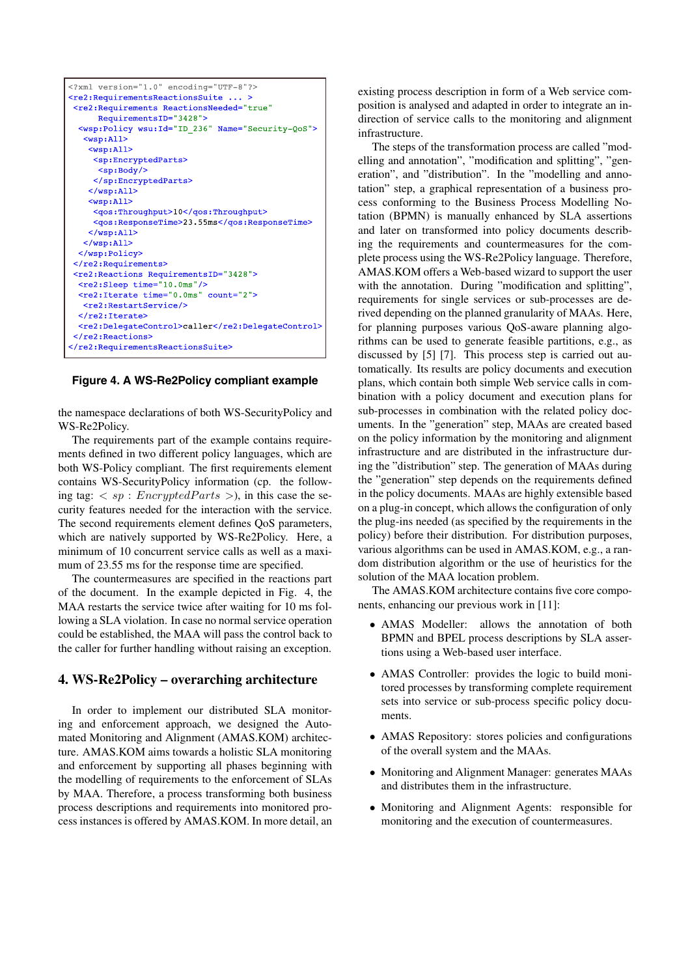

**Figure 4. A WS-Re2Policy compliant example**

the namespace declarations of both WS-SecurityPolicy and WS-Re2Policy.

The requirements part of the example contains requirements defined in two different policy languages, which are both WS-Policy compliant. The first requirements element contains WS-SecurityPolicy information (cp. the following tag:  $\langle sp : \text{EncryptedParts} > \rangle$ , in this case the security features needed for the interaction with the service. The second requirements element defines QoS parameters, which are natively supported by WS-Re2Policy. Here, a minimum of 10 concurrent service calls as well as a maximum of 23.55 ms for the response time are specified.

The countermeasures are specified in the reactions part of the document. In the example depicted in Fig. 4, the MAA restarts the service twice after waiting for 10 ms following a SLA violation. In case no normal service operation could be established, the MAA will pass the control back to the caller for further handling without raising an exception.

# **4. WS-Re2Policy – overarching architecture**

In order to implement our distributed SLA monitoring and enforcement approach, we designed the Automated Monitoring and Alignment (AMAS.KOM) architecture. AMAS.KOM aims towards a holistic SLA monitoring and enforcement by supporting all phases beginning with the modelling of requirements to the enforcement of SLAs by MAA. Therefore, a process transforming both business process descriptions and requirements into monitored process instances is offered by AMAS.KOM. In more detail, an existing process description in form of a Web service composition is analysed and adapted in order to integrate an indirection of service calls to the monitoring and alignment infrastructure.

The steps of the transformation process are called "modelling and annotation", "modification and splitting", "generation", and "distribution". In the "modelling and annotation" step, a graphical representation of a business process conforming to the Business Process Modelling Notation (BPMN) is manually enhanced by SLA assertions and later on transformed into policy documents describing the requirements and countermeasures for the complete process using the WS-Re2Policy language. Therefore, AMAS.KOM offers a Web-based wizard to support the user with the annotation. During "modification and splitting", requirements for single services or sub-processes are derived depending on the planned granularity of MAAs. Here, for planning purposes various QoS-aware planning algorithms can be used to generate feasible partitions, e.g., as discussed by [5] [7]. This process step is carried out automatically. Its results are policy documents and execution plans, which contain both simple Web service calls in combination with a policy document and execution plans for sub-processes in combination with the related policy documents. In the "generation" step, MAAs are created based on the policy information by the monitoring and alignment infrastructure and are distributed in the infrastructure during the "distribution" step. The generation of MAAs during the "generation" step depends on the requirements defined in the policy documents. MAAs are highly extensible based on a plug-in concept, which allows the configuration of only the plug-ins needed (as specified by the requirements in the policy) before their distribution. For distribution purposes, various algorithms can be used in AMAS.KOM, e.g., a random distribution algorithm or the use of heuristics for the solution of the MAA location problem.

The AMAS.KOM architecture contains five core components, enhancing our previous work in [11]:

- *•* AMAS Modeller: allows the annotation of both BPMN and BPEL process descriptions by SLA assertions using a Web-based user interface.
- AMAS Controller: provides the logic to build monitored processes by transforming complete requirement sets into service or sub-process specific policy documents.
- AMAS Repository: stores policies and configurations of the overall system and the MAAs.
- *•* Monitoring and Alignment Manager: generates MAAs and distributes them in the infrastructure.
- Monitoring and Alignment Agents: responsible for monitoring and the execution of countermeasures.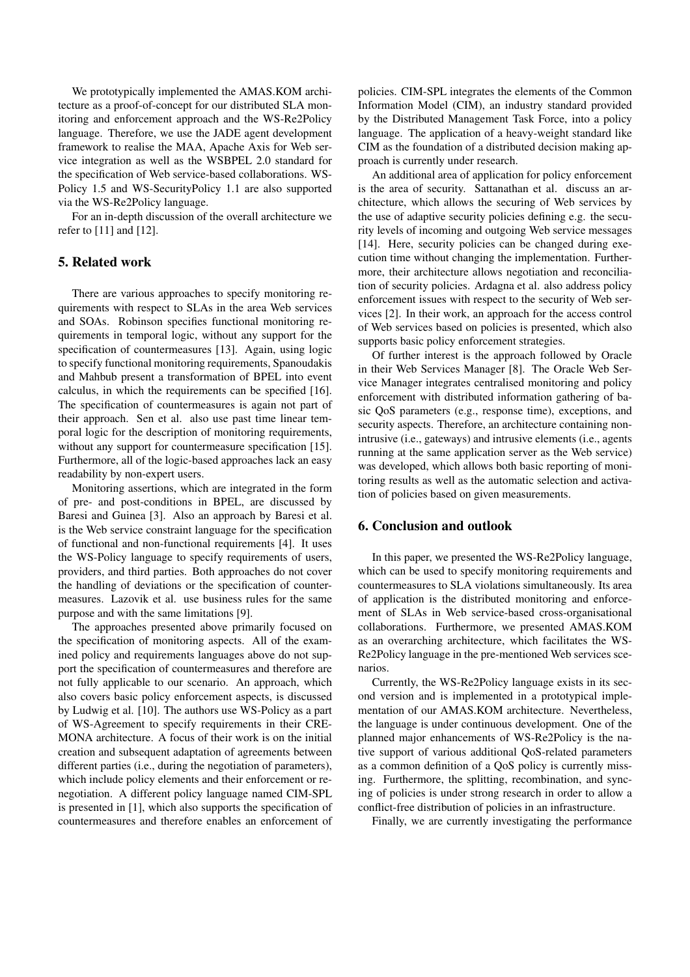We prototypically implemented the AMAS.KOM architecture as a proof-of-concept for our distributed SLA monitoring and enforcement approach and the WS-Re2Policy language. Therefore, we use the JADE agent development framework to realise the MAA, Apache Axis for Web service integration as well as the WSBPEL 2.0 standard for the specification of Web service-based collaborations. WS-Policy 1.5 and WS-SecurityPolicy 1.1 are also supported via the WS-Re2Policy language.

For an in-depth discussion of the overall architecture we refer to [11] and [12].

# **5. Related work**

There are various approaches to specify monitoring requirements with respect to SLAs in the area Web services and SOAs. Robinson specifies functional monitoring requirements in temporal logic, without any support for the specification of countermeasures [13]. Again, using logic to specify functional monitoring requirements, Spanoudakis and Mahbub present a transformation of BPEL into event calculus, in which the requirements can be specified [16]. The specification of countermeasures is again not part of their approach. Sen et al. also use past time linear temporal logic for the description of monitoring requirements, without any support for countermeasure specification [15]. Furthermore, all of the logic-based approaches lack an easy readability by non-expert users.

Monitoring assertions, which are integrated in the form of pre- and post-conditions in BPEL, are discussed by Baresi and Guinea [3]. Also an approach by Baresi et al. is the Web service constraint language for the specification of functional and non-functional requirements [4]. It uses the WS-Policy language to specify requirements of users, providers, and third parties. Both approaches do not cover the handling of deviations or the specification of countermeasures. Lazovik et al. use business rules for the same purpose and with the same limitations [9].

The approaches presented above primarily focused on the specification of monitoring aspects. All of the examined policy and requirements languages above do not support the specification of countermeasures and therefore are not fully applicable to our scenario. An approach, which also covers basic policy enforcement aspects, is discussed by Ludwig et al. [10]. The authors use WS-Policy as a part of WS-Agreement to specify requirements in their CRE-MONA architecture. A focus of their work is on the initial creation and subsequent adaptation of agreements between different parties (i.e., during the negotiation of parameters), which include policy elements and their enforcement or renegotiation. A different policy language named CIM-SPL is presented in [1], which also supports the specification of countermeasures and therefore enables an enforcement of policies. CIM-SPL integrates the elements of the Common Information Model (CIM), an industry standard provided by the Distributed Management Task Force, into a policy language. The application of a heavy-weight standard like CIM as the foundation of a distributed decision making approach is currently under research.

An additional area of application for policy enforcement is the area of security. Sattanathan et al. discuss an architecture, which allows the securing of Web services by the use of adaptive security policies defining e.g. the security levels of incoming and outgoing Web service messages [14]. Here, security policies can be changed during execution time without changing the implementation. Furthermore, their architecture allows negotiation and reconciliation of security policies. Ardagna et al. also address policy enforcement issues with respect to the security of Web services [2]. In their work, an approach for the access control of Web services based on policies is presented, which also supports basic policy enforcement strategies.

Of further interest is the approach followed by Oracle in their Web Services Manager [8]. The Oracle Web Service Manager integrates centralised monitoring and policy enforcement with distributed information gathering of basic QoS parameters (e.g., response time), exceptions, and security aspects. Therefore, an architecture containing nonintrusive (i.e., gateways) and intrusive elements (i.e., agents running at the same application server as the Web service) was developed, which allows both basic reporting of monitoring results as well as the automatic selection and activation of policies based on given measurements.

# **6. Conclusion and outlook**

In this paper, we presented the WS-Re2Policy language, which can be used to specify monitoring requirements and countermeasures to SLA violations simultaneously. Its area of application is the distributed monitoring and enforcement of SLAs in Web service-based cross-organisational collaborations. Furthermore, we presented AMAS.KOM as an overarching architecture, which facilitates the WS-Re2Policy language in the pre-mentioned Web services scenarios.

Currently, the WS-Re2Policy language exists in its second version and is implemented in a prototypical implementation of our AMAS.KOM architecture. Nevertheless, the language is under continuous development. One of the planned major enhancements of WS-Re2Policy is the native support of various additional QoS-related parameters as a common definition of a QoS policy is currently missing. Furthermore, the splitting, recombination, and syncing of policies is under strong research in order to allow a conflict-free distribution of policies in an infrastructure.

Finally, we are currently investigating the performance